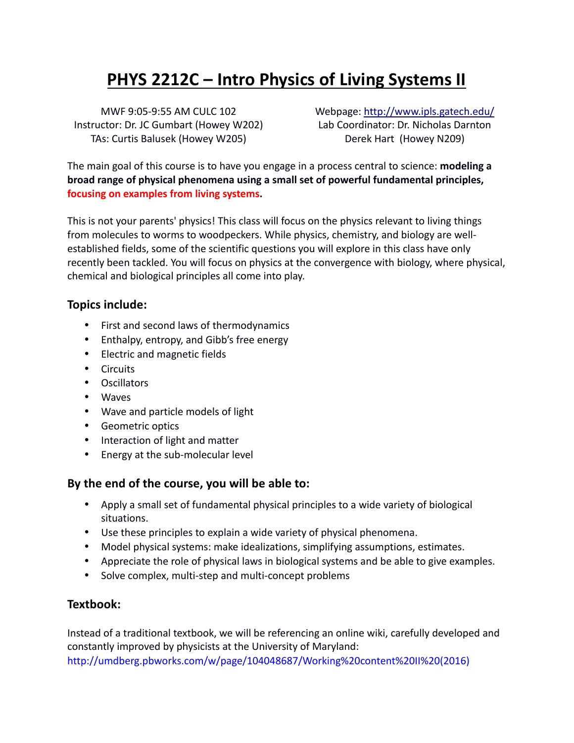# **PHYS 2212C – Intro Physics of Living Systems II**

MWF 9:05-9:55 AM CULC 102 Instructor: Dr. JC Gumbart (Howey W202) TAs: Curtis Balusek (Howey W205)

Webpage: http://www.ipls.gatech.edu/ Lab Coordinator: Dr. Nicholas Darnton Derek Hart (Howey N209)

The main goal of this course is to have you engage in a process central to science: **modeling a** broad range of physical phenomena using a small set of powerful fundamental principles, **focusing on examples from living systems.** 

This is not your parents' physics! This class will focus on the physics relevant to living things from molecules to worms to woodpeckers. While physics, chemistry, and biology are wellestablished fields, some of the scientific questions you will explore in this class have only recently been tackled. You will focus on physics at the convergence with biology, where physical, chemical and biological principles all come into play.

### **Topics include:**

- First and second laws of thermodynamics
- Enthalpy, entropy, and Gibb's free energy
- Electric and magnetic fields
- Circuits
- Oscillators
- Waves
- Wave and particle models of light
- Geometric optics
- Interaction of light and matter
- Energy at the sub-molecular level

### By the end of the course, you will be able to:

- Apply a small set of fundamental physical principles to a wide variety of biological situations.
- Use these principles to explain a wide variety of physical phenomena.
- Model physical systems: make idealizations, simplifying assumptions, estimates.
- Appreciate the role of physical laws in biological systems and be able to give examples.
- Solve complex, multi-step and multi-concept problems

### **Textbook:**

Instead of a traditional textbook, we will be referencing an online wiki, carefully developed and constantly improved by physicists at the University of Maryland: http://umdberg.pbworks.com/w/page/104048687/Working%20content%20II%20(2016)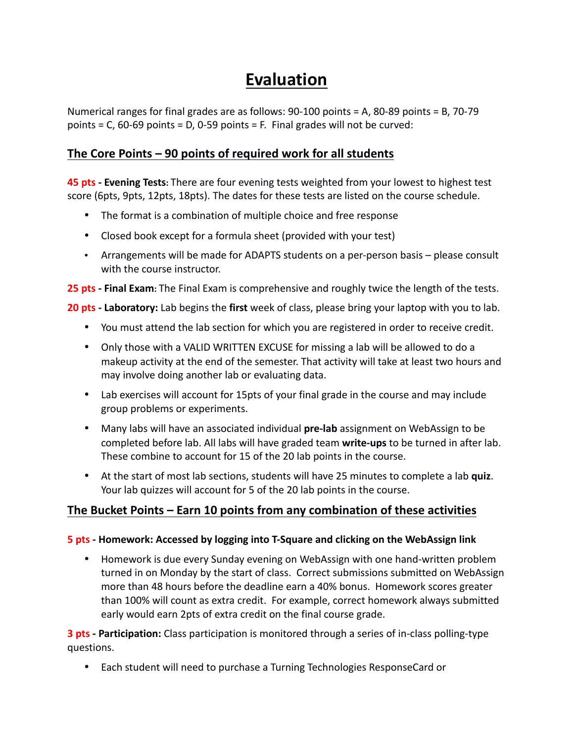## **Evaluation**

Numerical ranges for final grades are as follows:  $90-100$  points = A, 80-89 points = B, 70-79 points =  $C$ , 60-69 points =  $D$ , 0-59 points =  $F$ . Final grades will not be curved:

## **The Core Points – 90 points of required work for all students**

**45 pts - Evening Tests:** There are four evening tests weighted from your lowest to highest test score (6pts, 9pts, 12pts, 18pts). The dates for these tests are listed on the course schedule.

- The format is a combination of multiple choice and free response
- Closed book except for a formula sheet (provided with your test)
- Arrangements will be made for ADAPTS students on a per-person basis please consult with the course instructor.

**25 pts - Final Exam:** The Final Exam is comprehensive and roughly twice the length of the tests.

**20 pts - Laboratory:** Lab begins the first week of class, please bring your laptop with you to lab.

- You must attend the lab section for which you are registered in order to receive credit.
- Only those with a VALID WRITTEN EXCUSE for missing a lab will be allowed to do a makeup activity at the end of the semester. That activity will take at least two hours and may involve doing another lab or evaluating data.
- Lab exercises will account for 15pts of your final grade in the course and may include group problems or experiments.
- Many labs will have an associated individual **pre-lab** assignment on WebAssign to be completed before lab. All labs will have graded team write-ups to be turned in after lab. These combine to account for 15 of the 20 lab points in the course.
- At the start of most lab sections, students will have 25 minutes to complete a lab quiz. Your lab quizzes will account for 5 of the 20 lab points in the course.

### The Bucket Points – Earn 10 points from any combination of these activities

#### **5 pts - Homework: Accessed by logging into T-Square and clicking on the WebAssign link**

• Homework is due every Sunday evening on WebAssign with one hand-written problem turned in on Monday by the start of class. Correct submissions submitted on WebAssign more than 48 hours before the deadline earn a 40% bonus. Homework scores greater than 100% will count as extra credit. For example, correct homework always submitted early would earn 2pts of extra credit on the final course grade.

**3 pts - Participation:** Class participation is monitored through a series of in-class polling-type questions.

• Each student will need to purchase a Turning Technologies ResponseCard or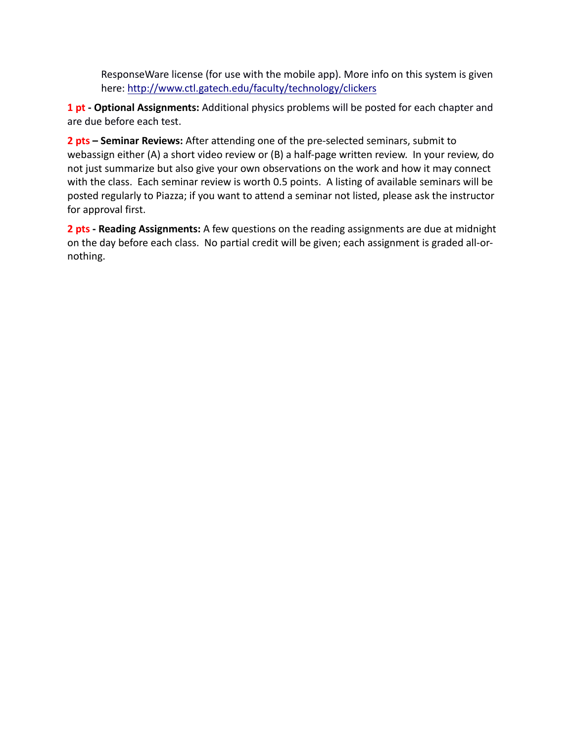ResponseWare license (for use with the mobile app). More info on this system is given here: http://www.ctl.gatech.edu/faculty/technology/clickers

1 pt - Optional Assignments: Additional physics problems will be posted for each chapter and are due before each test.

**2 pts – Seminar Reviews:** After attending one of the pre-selected seminars, submit to webassign either (A) a short video review or (B) a half-page written review. In your review, do not just summarize but also give your own observations on the work and how it may connect with the class. Each seminar review is worth 0.5 points. A listing of available seminars will be posted regularly to Piazza; if you want to attend a seminar not listed, please ask the instructor for approval first.

**2 pts - Reading Assignments:** A few questions on the reading assignments are due at midnight on the day before each class. No partial credit will be given; each assignment is graded all-ornothing.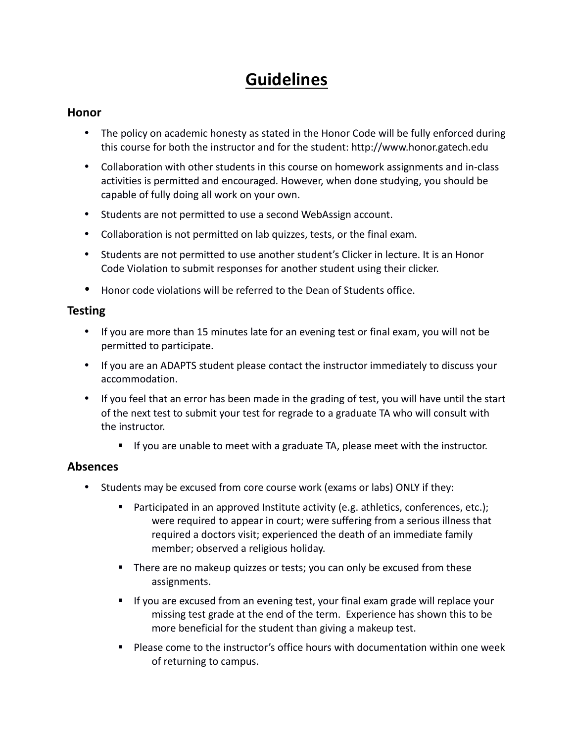## **Guidelines**

#### **Honor**

- The policy on academic honesty as stated in the Honor Code will be fully enforced during this course for both the instructor and for the student: http://www.honor.gatech.edu
- Collaboration with other students in this course on homework assignments and in-class activities is permitted and encouraged. However, when done studying, you should be capable of fully doing all work on your own.
- Students are not permitted to use a second WebAssign account.
- Collaboration is not permitted on lab quizzes, tests, or the final exam.
- Students are not permitted to use another student's Clicker in lecture. It is an Honor Code Violation to submit responses for another student using their clicker.
- Honor code violations will be referred to the Dean of Students office.

### **Testing**

- If you are more than 15 minutes late for an evening test or final exam, you will not be permitted to participate.
- If you are an ADAPTS student please contact the instructor immediately to discuss your accommodation.
- If you feel that an error has been made in the grading of test, you will have until the start of the next test to submit your test for regrade to a graduate TA who will consult with the instructor.
	- If you are unable to meet with a graduate TA, please meet with the instructor.

### **Absences**

- Students may be excused from core course work (exams or labs) ONLY if they:
	- **•** Participated in an approved Institute activity (e.g. athletics, conferences, etc.); were required to appear in court; were suffering from a serious illness that required a doctors visit; experienced the death of an immediate family member; observed a religious holiday.
	- There are no makeup quizzes or tests; you can only be excused from these assignments.
	- If you are excused from an evening test, your final exam grade will replace your missing test grade at the end of the term. Experience has shown this to be more beneficial for the student than giving a makeup test.
	- Please come to the instructor's office hours with documentation within one week of returning to campus.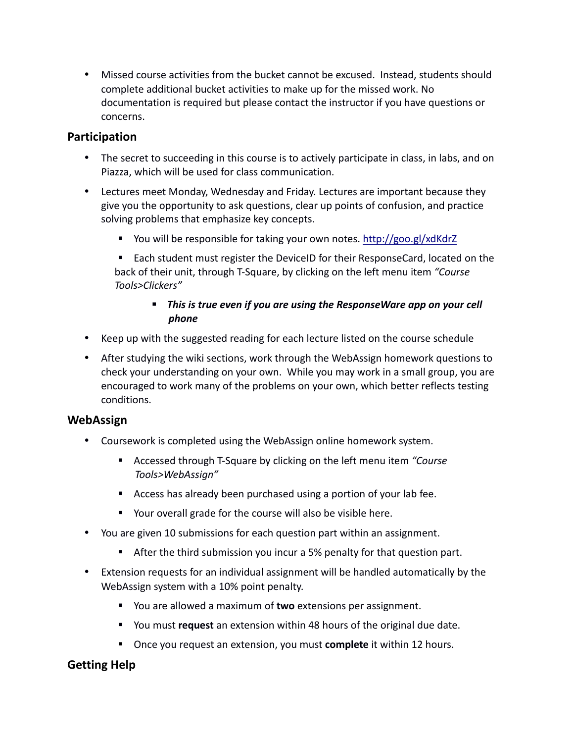• Missed course activities from the bucket cannot be excused. Instead, students should complete additional bucket activities to make up for the missed work. No documentation is required but please contact the instructor if you have questions or concerns.

### **Participation**

- The secret to succeeding in this course is to actively participate in class, in labs, and on Piazza, which will be used for class communication.
- Lectures meet Monday, Wednesday and Friday. Lectures are important because they give you the opportunity to ask questions, clear up points of confusion, and practice solving problems that emphasize key concepts.
	- You will be responsible for taking your own notes. http://goo.gl/xdKdrZ
	- Each student must register the DeviceID for their ResponseCard, located on the back of their unit, through T-Square, by clicking on the left menu item *"Course Tools>Clickers"*

### **•** This is true even if you are using the ResponseWare app on your cell *phone*

- Keep up with the suggested reading for each lecture listed on the course schedule
- After studying the wiki sections, work through the WebAssign homework questions to check your understanding on your own. While you may work in a small group, you are encouraged to work many of the problems on your own, which better reflects testing conditions.

### **WebAssign**

- Coursework is completed using the WebAssign online homework system.
	- Accessed through T-Square by clicking on the left menu item *"Course Tools>WebAssign"*
	- Access has already been purchased using a portion of your lab fee.
	- Your overall grade for the course will also be visible here.
- You are given 10 submissions for each question part within an assignment.
	- **E** After the third submission you incur a 5% penalty for that question part.
- Extension requests for an individual assignment will be handled automatically by the WebAssign system with a 10% point penalty.
	- You are allowed a maximum of **two** extensions per assignment.
	- You must **request** an extension within 48 hours of the original due date.
	- Once you request an extension, you must **complete** it within 12 hours.

## **Getting Help**